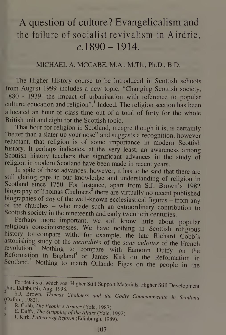# A question of culture? Evangelicalism and the failure of socialist revivalism in Airdrie,  $c. 1890 - 1914.$

#### MICHAEL A. MCCABE, M.A., M.Th., Ph.D., B.D.

The Higher History course to be introduced in Scottish schools from August 1999 includes a new topic, "Changing Scottish society, 1880 - 1939: the impact of urbanisation with reference to popular 2 culture, education and religion". <sup>1</sup> Indeed. The religion section has been allocated an hour of class time out of a total of forty for the whole British unit and eight for the Scottish topic.

That hour for religion in Scotland, meagre though it is, is certainly "better than <sup>a</sup> slater up your nose" and suggests a recognition, however reluctant, that religion is of some importance in modern Scottish history. It perhaps indicates, at the very least, an awareness among Scottish history teachers that significant advances in the study of religion in modern Scotland have been made in recent years.

In spite of these advances, however, it has to be said that there are still glaring gaps in our knowledge and understanding of religion in Scotland since 1750. For instance, apart from S.J. Brown's 1982 biography of Thomas Chalmers<sup>2</sup> there are virtually no recent published biographies of any of the well-known ecclesiastical figures – from any ot the churches - who made such an extraordinary contribution to Scottish society in the nineteenth and early twentieth centuries.

Perhaps more important, we still know little about popular religious consciousnesses. We have nothing in Scottish religious history to compare with, for example, the late Richard Cobb's astonishing study of the *mentalités* of the sans culottes of the French revolution. Nothing to compare with Eamonn Duffy on the Reformation in England<sup>4</sup> or James Kirk on the Reformation in Scotland.<sup>5</sup> Nothing to match Orlando Figes on the people in the

Unit. Edinburgh, Aug. 199 ich see: Higher Still Support Materials, Higher Still De<br>1998.<br>2006 - Chalaman Materials, Carlinger

<sup>(</sup>Oxford, 1982). S.J. Brown, Thomas Chalmers and the Godly Commonwealth in Scotland

R. Cobb, The People's Armies (Yale, 1987).

E. Duffy, The Stripping of the Altars (Yale, 1992).

J. Kirk, Patterns of Reform (Edinburgh, 1989).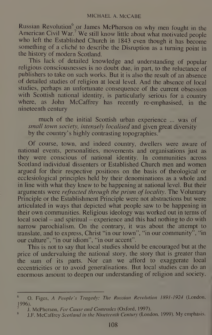Russian Revolution<sup>6</sup> or James McPherson on why men fought in the American Civil War.<sup>7</sup> We still know little about what motivated people who left the Established Church in <sup>1843</sup> even though it has become something of a cliché to describe the Disruption as a turning point in the history of modern Scotland.

This lack of detailed knowledge and understanding of popular religious consciousnesses is no doubt due, in part, to the reluctance of publishers to take on such works. But it is also the result of an absence of detailed studies of religion at local level. And the absence of local studies, perhaps an unfortunate consequence of the current obsession with Scottish national identity, is particularly serious for a country where, as John McCaffrey has recently re-emphasised, in the nineteenth century

much of the initial Scottish urban experience ... was of small town society, intensely localised and given great diversity by the country's highly contrasting topographies.

Of course, town, and indeed country, dwellers were aware of national events, personalities, movements and organisations just as they were conscious of national identity. In communities across Scotland individual dissenters or Established Church men and women argued for their respective positions on the basis of theological or ecclesiological principles held by their denominations as a whole and in line with what they knew to be happening at national level. But their arguments were *refracted through the prism of locality*. The Voluntary Principle or the Establishment Principle were not abstractions but were articulated in ways that depicted what people saw to be happening in their own communities. Religious ideology was worked out in terms of  $local social - and spiritual - experience and this had nothing to do with$ narrow parochialism. On the contrary, it was about the attempt to translate, and to express, Christ "in our town", "in our community", "in our culture", "in our idiom", "in our accent".

This is not to say that local studies should be encouraged but at the price of undervaluing the national story, the story that is greater than the sum of its parts. Nor can we afford to exaggerate local eccentricities or to avoid generalisations. But local studies can do an enormous amount to deepen our understanding of religion and society,

<sup>&</sup>lt;sup>6</sup> O. Figes, A People's Tragedy: The Russian Revolution 1891-1924 (London, 1996).

<sup>7</sup> J. McPherson, For Cause and Comrades (Oxford, 1997).

J.F. McCaffrey Scotland in the Nineteenth Century (London, 1999). My emphasis. 8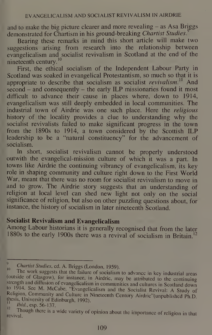and to make the big picture clearer and more revealing  $-$  as Asa Briggs demonstrated for Chartism in his ground-breaking *Chartist Studies*.<sup>9</sup>

Bearing these remarks in mind this short article will make two suggestions arising from research into the relationship between evangelicalism and socialist revivalism in Scotland at the end of the nineteenth century.<sup>10</sup>

First, the ethical socialism of the Independent Labour Party in Scotland was soaked in evangelical Protestantism, so much so that it is appropriate to describe that socialism as socialist revivalism.<sup>11</sup> And  $\frac{1}{2}$  second – and consequently – the early ILP missionaries found it most difficult to advance their cause in places where, down to 1914, evangelicalism was still deeply embedded in local communities. The industrial town of Airdrie was one such place. Here the religious history of the locality provides a clue to understanding why the socialist revivalists failed to make significant progress in the town from the 1890s to 1914, a town considered by the Scottish ILP leadership to be a "natural constituency" for the advancement of socialism.

In short, socialist revivalism cannot be properly understood outwith the evangelical-mission culture of which it was a part. In towns like Airdrie the continuing vibrancy of evangelicalism, its key role in shaping community and culture right down to the First World War, meant that there was no room for socialist revivalism to move in and to grow. The Airdrie story suggests that an understanding of religion at local level can shed new light not only on the social significance of religion, but also on other puzzling questions about, for instance, the history of socialism in later nineteenth Scotland.

# Socialist Revivalism and Evangelicalism

Among Labour historians it is generally recognised that from the later 1880s to the early 1900s there was a revival of socialism in Britain.<sup>12</sup>

 $\overline{Q}$  $\frac{10}{10}$  Chartist Studies, ed. A. Briggs (London, 1959).

The work suggests that the failure of socialism to advance in key industrial areas (outside of Glasgow), for instance, in Airdric, may be attributed to the continuing strength and diffusion of evangelicalism in communities and cultures in Scotland down Religion, Community and Culture in Nineteenth Century Airdrie''(unpublished Ph.D.<br>thesis, University of Edinburgh, 1992). to 1914. See M. McCabe, "Evangelicalism and the Socialist Revival: A Study of

 $12 \quad \text{[text, esp. 56-137]}$ 

Though there is <sup>a</sup> wide variety of opinion about the importance of religion in that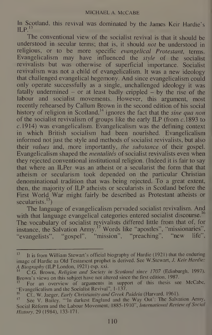In Scotland, this revival was dominated by the James Keir Hardie's  $ILP.$ 

The conventional view of the socialist revival is that it should be understood in secular terms; that is, it should not be understood in religious, or to be more specific evangelical Protestant, terms. Evangelicalism may have influenced the *style* of the socialist revivalists but was otherwise of superficial importance. Socialist revivalism was not a child of evangelicalism. It was a new ideology that challenged evangelical hegemony. And since evangelicalism could only operate successfully as a single, unchallenged ideology it was fatally undermined  $-$  or at least badly crippled  $-$  by the rise of the labour and socialist movements. However, this argument, most recently rehearsed by Callum Brown in the second edition of his social history of religion in Scotland,<sup>14</sup> ignores the fact that the *sine qua non* of the socialist revivalism of groups like the early ILP (from  $c.1893$  to  $c. 1914$ ) was evangelicalism. Evangelicalism was the defining context in which British socialism had been nourished. Evangelicalism informed not just the style and methods of socialist revivalists, but also their values and, more importantly, the substance of their gospel. Evangelicalism shaped the *mentalités* of socialist revivalists even when they rejected conventional institutional religion. (Indeed it is fair to say that where an ILPer was an atheist or a secularist the form that that atheism or secularism took depended on the particular Christian denominational tradition that was being rejected. To a great extent, then, the majority of ILP atheists or secularists in Scotland before the First World War might fairly be described as Protestant atheists or secularists.<sup>15</sup>)

Indities. The language of evangelicalism pervaded socialist revivalism. And with that language evangelical categories entered socialist discourse.<sup>16</sup> The vocabulary of socialist revivalists differed little from that of, for instance, the Salvation Army.<sup>17</sup> Words like "apostles", "missionaries", "evangelists", "gospel", "mission", "preaching", "new life",

<sup>&</sup>lt;sup>13</sup> It is from William Stewart's official biography of Hardie (1921) that the enduring image of Hardie as Old Testament prophet is derived. See W.Stewart, J. Keir Hardie: A Biography (ILP London, 1921) esp. xxi.

C.G. Brown, Religion and Society in Scotland since 1707 (Edinburgh. 1997). Brown's views on this subject have not altered since the first edition. 1987.

For an overview of arguments in support of this thesis see McCabe. "Evangelicalism and the Socialist Revival", 1-137.<br><sup>16</sup> Cf. W. Jagger, Early Christianity and Great E

Cf.. W. Jaeger, Early Christianity and Greek Paideia (Harvard, 1961).

See V. Bailey, "'In darkest England and the Way Out': The Salvation Army, Social Reform and the Labour Movement, 1885-1910", International Review of Social History, 29(1984), 133-171.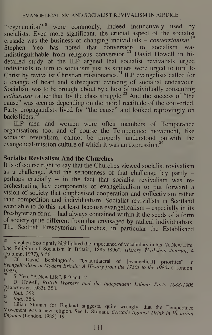"regeneration"<sup>18</sup> were commonly, indeed instinctively used by socialists. Even more significant, the crucial aspect of the socialist crusade was the business of changing individuals – *conversionism*.<sup>19</sup> Stephen Yeo has noted that conversion to socialism was indistinguishable from religious conversion.<sup>20</sup> David Howell in his detailed study of the ILP argued that socialist revivalists urged individuals to turn to socialism just as sinners were urged to turn to Christ by revivalist Christian missionaries.<sup>21</sup> ILP evangelists called for a change of heart and subsequent evincing of socialist endeavour. Socialism was to be brought about by a host of individually consenting enthusiasts rather than by the class struggle.<sup>22</sup> And the success of "the cause" was seen as depending on the moral rectitude of the converted. Party propagandists lived for "the cause" and looked reprovingly on backsliders.

ILP men and women were often members of Temperance organisations too, and of course the Temperance movement, like socialist revivalism, cannot be properly understood outwith the evangelical-mission culture of which it was an expression.<sup>24</sup>

### Socialist Revivalism And the Churches

It is of course right to say that the Churches viewed socialist revivalism as a challenge. And the seriousness of that challenge lay partly perhaps crucially - in the fact that socialist revivalism was re orchestrating key components of evangelicalism to put forward <sup>a</sup> vision of society that emphasised cooperation and collectivism rather than competition and individualism. Socialist revivalists in Scotland were able to do this not least because evangelicalism – especially in its Presbyterian form — had always contained within it the seeds of <sup>a</sup> form of society quite different from that envisaged by radical individualists. The Scottish Presbyterian Churches, in particular the Established

<sup>&</sup>lt;sup>18</sup> Stephen Yeo rightly highlighted the importance of vocabulary in his "A New Life: The Religion of Socialism in Britain, 1883-1896", History Workshop Journal, 4 (Autumn, 1977), 5-56.<br><sup>19</sup> Cf. David Bebbington's "Quadrilateral of [evangelical] priorities" in

Evangelicalism in Modern Britain: A History from the 1730s to the 1980s ( London, 1989).<br> $^{20}$  S. Yeo, "A New Life", 8-9 and 17.

<sup>&</sup>lt;sup>20</sup> S. Yeo, "A New Life", 8-9 and 17.<br><sup>21</sup> D. Howell, *British Workers and the Independent Labour Party 1888-1906* (Manchester, 1983), 358.

<sup>23</sup> Ibid., 358.

Ibid., 358.

<sup>&</sup>lt;sup>24</sup> Lilian Shiman for England suggests, quite wrongly, that the Temperance Movement was a new religion. See L. Shiman, Crusade Against Drink in Victorian England (London, 1988), 19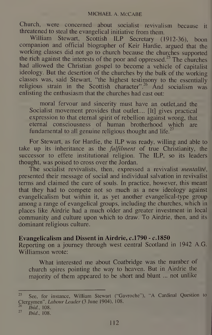Church, were concerned about socialist revivalism because it threatened to steal the evangelical initiative from them.

William Stewart, Scottish ILP Secretary (1912-36), boon companion and official biographer of Keir Hardie, argued that the working classes did not go to church because the churches supported the rich against the interests of the poor and oppressed.<sup>25</sup> The churches had allowed the Christian gospel to become <sup>a</sup> vehicle of capitalist ideology. But the desertion of the churches by the bulk of the working classes was, said Stewart, "the highest testimony to the essentially religious strain in the Scottish character".<sup>26</sup> And socialism was enlisting the enthusiasm that the churches had cast out:

moral fervour and sincerity must have an outlet,and the Socialist movement provides that outlet.... [It] gives practical expression to that eternal spirit of rebellion against wrong, that eternal consciousness of human brotherhood which are fundamental to all genuine religious thought and life.<sup>27</sup>

For Stewart, as for Hardie, the ILP was ready, willing and able to take up its inheritance as the *fulfilment* of true Christianity, the successor to effete institutional religion. The ILP, so its leaders thought, was poised to cross over the Jordan.

The socialist revivalists, then, expressed a revivalist *mentalité*, presented their message of social and individual salvation in revivalist terms and claimed the cure of souls. In practice, however, this meant that they had to compete not so much as a new ideology against evangelicalism but within it, as yet another evangelical-type group among a range of evangelical groups, including the churches, which in places like Airdrie had a much older and greater investment in local community and culture upon which to draw. To Airdrie, then, and its dominant religious culture.

#### Evangelicalism and Dissent in Airdrie, c.1790 - c.1850

Reporting on a journey through west central Scotland in 1942 A.G. Williamson wrote:

What interested me about Coatbridge was the number of church spires pointing the way to heaven. But in Airdrie the majority of them appeared to be short and blunt ... not unlike

 $^{26}$  *Ibid.*, 108.

<sup>&</sup>lt;sup>25</sup> See, for instance, William Stewart ("Gavroche"), "A Cardinal Question to Clergymen", *Labour Leader* (3 June 1904), 108.

 $27$  Ibid., 108.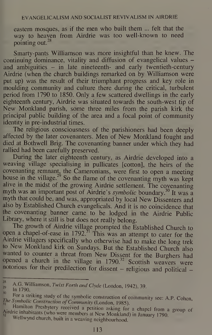eastern mosques, as if the men who built them ... felt that the wav to heaven from Airdrie was too well-known to need pointing out. $^{28}$ 

Smarty-pants Williamson was more insightful than he knew. The continuing dominance, vitality and diffusion of evangelical values and ambiguities – in late nineteenth- and early twentieth-century Airdrie (when the church buildings remarked on by Williamson were put up) was the result of their triumphant progress and key role in moulding community and culture there during the critical, turbulent period from 1790 to 1850. Only a few scattered dwellings in the early eighteenth century, Airdrie was situated towards the south-west tip of New Monkland parish, some three miles from the parish kirk the principal public building of the area and a focal point of community identity in pre-industrial times.

The religious consciousness of the parishioners had been deeply affected by the later covenanters. Men of New Monkland fought and died at Bothwell Brig. The covenanting banner under which they had rallied had been carefully preserved.

During the later eighteenth century, as Airdrie developed into a weaving village specialising in pullicates [cotton], the heirs of the covenanting remnant, the Cameronians, were first to open a meeting house in the village.<sup>29</sup> So the flame of the covenanting myth was kept alive in the midst of the growing Airdrie settlement. The covenanting myth was an important post of Airdrie's symbolic boundary.<sup>30</sup> It was a myth that could be, and was, appropriated by local New Dissenters and also by Established Church evangelicals. And it is no coincidence that the covenanting banner came to be lodged in the Airdrie Public Library, where it still is but does not really belong.

The growth of Airdrie village prompted the Established Church to open a chapel-of-ease in 1792.<sup>31</sup> This was an attempt to cater for the Airdrie villagers specifically who otherwise had to make the long trek to New Monkland kirk on Sundays. But the Established Church also wanted to counter a threat from New Dissent for the Burghers had opened a church in the village in  $1790^{32}$  Scottish weavers were notorious for their predilection for dissent  $-$  religious and political  $-$ 

28

A.G. Williamson, Twixt Forth and Clyde (London, 1942), 39.<br>In 1790.

 $\frac{1}{10}$  In 1790.

The Symbolic Construction of Community (London, 1985). For a striking study of the symbolic construction of community see: A P. Cohen,<br>The Symbolic Construction of Community (London, 1985).

Hamilton Presbytery received a petition asking for a chapel from a group of Airdrie inhabitants (who were members at New Monkland) in January 1790. Wellwynd church, built in a weaving neighbourhood. milton Presbytery<br>inhabitants (who i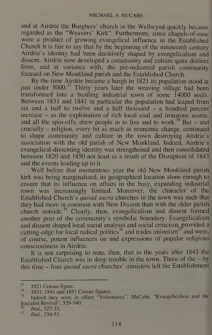and at Airdrie the Burghers' church in the Wellwynd quickly became regarded as the "Weavers' Kirk". Furthermore, since chapels-of-ease were <sup>a</sup> product of growing evangelical influence in the Established Church it is fair to say that by the beginning of the nineteenth century Airdrie's identity had been decisively shaped by evangelicalism and dissent. Airdrie now developed <sup>a</sup> community and culture quite distinct from, and at variance with, the pre-industrial parish community focused on New Monkland parish and the Established Church.

By the time Airdrie became <sup>a</sup> burgh in 1821 its population stood at just under  $5000$ <sup>33</sup> Thirty years later the weaving village had been transformed into a bustling industrial town of some 14000 souls. Between 1831 and 1841 in particular the population had leaped from six and a half to twelve and a half thousand  $-$  a hundred percent increase - as the exploitation of rich local coal and ironstone seams, and all the spin-offs, drew people in to live and to work.<sup>34</sup> But – and crucially - religion, every bit as much as economic change, continued to shape community and culture in the town destroying Airdrie's association with the old parish of New Monkland. Indeed, Airdrie's evangelical-dissenting identity was strengthened and then consolidated between 1820 and 1850 not least as a result of the Disruption of 1843 and the events leading up to it.

Well before that momentous year the old New Monkland parish kirk was being marginalised, its geographical location alone enough to ensure that its influence on affairs in the busy, expanding industrial town was increasingly limited. Moreover, the character of the Established Church's quoad sacra churches in the town was such that they had more in common with New Dissent than with the older parish church outside.<sup>35</sup> Clearly, then, evangelicalism and dissent formed another post of the community's symbolic boundary. Evangelicalism and dissent shaped local social analysis and social criticism, provided a cutting-edge for local radical politics<sup>36</sup> and trades unionism<sup>37</sup> and were, of course, potent influences on and expressions of popular religious consciousness in Airdrie.

It is not surprising to note, then, that in the years after 1843 the Established Church was in deep trouble in the town. Three of the  $-$  by this time - four quoad sacra churches' ministers left the Establishment

 $\frac{33}{34}$  1821 Census figure.<br> $\frac{1831}{1831}$ , 1841 and 1851 Census figures.  $^{34}$  1831, 1841 and 1851 Census figures.

<sup>&</sup>lt;sup>35</sup> Indeed they were in effect "Voluntaries". McCabe, "Evangelicalism and the Socialist Revival", 529-540.

 $\frac{36}{37}$  Ibid., 327-33.

<sup>37</sup> Ibid., 334-53.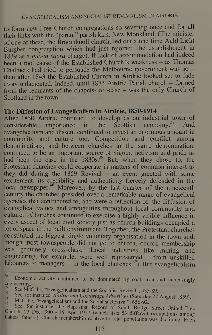#### EVANGELICALISM AND SOCIALIST REVIVALISM IN AIRDRIE

to form new Free Church congregations so severing once and for all their links with the "parent" parish kirk. New Monkland. (The minister of one of these, the Broomknoll church, led out <sup>a</sup> one time Auld Licht Burgher congregation which had just rejoined the establishment in 1839 as a quoad sacra charge). If lack of accommodation had indeed been a root cause of the Established Church's weakness - as Thomas Chalmers had tried to persuade the Melbourne government was so then after 1843 the Established Church in Airdrie looked set to fade away unlamented. Indeed, until <sup>1873</sup> Airdrie Parish church - formed from the remnants of the chapels- of -ease - was the only Church of Scotland in the town.

#### The Diffusion of Evangelicalism in Airdrie, 1850-1914

After 1850 Airdrie continued to develop as an industrial town of considerable importance in the Scottish economy.<sup>38</sup> And evangelicalism and dissent continued to invest an enormous amount in community and culture too. Competition and conflict among denominations, and between churches in the same denomination, continued to be an important source of vigour, activism and pride as had been the case in the  $1830s^{39}$  But, when they chose to, the Protestant churches could cooperate in matters of common interest as they did during the 1859 Revival  $-$  an event greeted with some excitement, its credibility and authenticity fiercely defended in the local newspaper.<sup>40</sup> Moreover, by the last quarter of the nineteenth century the churches presided over a remarkable range of evangelical agencies that contributed to, and were a reflection of, the diffusion of evangelical values and ambiguities throughout local community and culture.<sup>41</sup> Churches continued to exercise a highly visible influence in every aspect of local civil society just as church buildings occupied a lot of space in the built environment. Together, the Protestant churches constituted the biggest single voluntary organisation in the town and, though most townspeople did not go to church, church membership was genuinely cross-class. (Local industries like mining and engineering, for example, were well represented – from unskilled labourers to managers  $-$  in the local churches.<sup>42</sup>) But evangelicalism

<sup>38</sup> Economic activity continued to be dominated by coal, iron and increasingly cngineering.

See McCabe, "Evangelicalism and the Socialist Revival", 435-89.

<sup>&</sup>lt;sup>40</sup> See Meease, Evangenearism and the Socialist Revival , 435-89.<br>See, for instance, *Airdrie and Coatbridge Advertiser* (Saturday 27 August 1859).

 $^{41}_{42}$  McCabe, "Evangelicalism and the Socialist Revival", 656-92.

See, for instance, the Baptismal Record of South Bridge Street United Free Church, <sup>23</sup> Dec. <sup>1900</sup> - <sup>19</sup> Apr. <sup>1917</sup> (which lists <sup>53</sup> different occupations among babies' fathers). Church membership relative to total population was declining. Even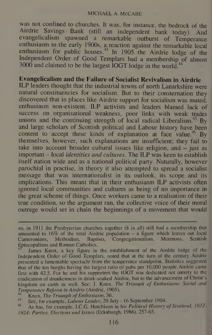#### MICHAEL A. MCCABE

was not confined to churches. It was, for instance, the bedrock of the Airdrie Savings Bank (still an independent bank today). And evangelicalism spawned <sup>a</sup> remarkable outburst of Temperance enthusiasm in the early 1900s, <sup>a</sup> reaction against the remarkable local enthusiasm for public houses.<sup>43</sup> In 1905 the Airdrie lodge of the Independent Order of Good Templars had <sup>a</sup> membership of almost 3000 and claimed to be the largest IOGT lodge in the world.<sup>44</sup>

## Evangelicalism and the Failure of Socialist Revivalism in Airdrie

ILP leaders thought that the industrial towns of north Lanarkshire were natural constituencies for socialism. But to their consternation they discovered that in places like Airdrie support for socialism was muted, enthusiasm non-existent. ILP activists and leaders blamed lack of success on organisational weakness, poor links with weak trades unions and the continuing strength of local radical Liberalism.<sup>45</sup> By and large scholars of Scottish political and Labour history have been content to accept these kinds of explanation at face value.<sup>46</sup> By themselves, however, such explanations are insufficient; they fail to take into account broader cultural issues like religion, and  $-\overline{\phantom{a}}$  just as important – local *identities and cultures*. The ILP was keen to establish itself nation wide and as a national political party. Naturally, however parochial in practise, in theory it also attempted to spread a socialist message that was internationalist in its outlook, its scope and its implications. This meant that in their enthusiasm ILP activists often ignored local communities and cultures as being of no importance in the great scheme of things. Once workers came to a realisation of their true condition, so the argument ran, the collective voice of their moral outrage would set in chain the beginnings of a movement that would

so, in 1911 the Presbyterian churches together (8 in all) still had a membership that amounted to  $16\%$  of the total Airdrie population – a figure which leaves out local Cameronians, Methodists, Baptists, Congregationalists, Mormons, Scottish Baptists, Congregationalists, Mormons, Episcopalians and Roman Catholics.

James Knox, a key figure in the establishment of the Airdrie lodge of the Independent Order of Good Templars, noted that at the turn of the century Airdrie presented a lamentable spectacle from the temperance standpoint. Statistics suggested that of the ten burghs having the largest ratio of pubs per 10,000 people Airdrie came first with 42.5. For he and his supporters the IOGT was dedicated not merely to the eradication of drunkenness in drink-soaked Airdrie, but to the advancement of Christ's kingdom on earth as well. See: J. Knox, The Triumph of Enthusiasm: Social and Temperance Reform in Airdrie (Airdrie, 1905).

 $\frac{44}{15}$  Knox, The Triumph of Enthusiasm, 36.

 $\frac{45}{46}$  Sec, for example, *Labour Leader*, 29 July - 16 September 1904.

As has, for example, I.C.G. Hutchison in his Political History of Scotland, 1832-1924: Parties, Elections and Issues (Edinburgh, 1986), 257-65.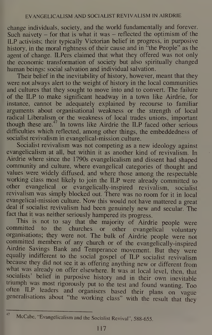change individuals, society, and the world fundamentally and forever. Such naivety  $-$  for that is what it was  $-$  reflected the optimism of the ILP activists; their typically Victorian belief in progress, in purposive history, in the moral rightness of their cause and in "the People" as the agent of change. ILPers claimed that what they offered was not only the economic transformation of society but also spiritually changed human beings: social salvation and individual salvation.

Their belief in the inevitability of history, however, meant that they were not always alert to the weight of history in the local communities and cultures that they sought to move into and to convert. The failure of the ILP to make significant headway in a town like Airdrie, for instance, cannot be adequately explained by recourse to familiar arguments about organisational weakness or the strength of local radical Liberalism or the weakness of local trades unions, important though these are.<sup>47</sup> In towns like Airdrie the ILP faced other serious difficulties which reflected, among other things, the embeddedness of socialist revivalism in evangelical-mission culture.

Socialist revivalism was not competing as a new ideology against evangelicalism at all, but within it as another kind of revivalism. In Airdrie where since the 1790s evangelicalism and dissent had shaped community and culture, where evangelical categories of thought and values were widely diffused, and where those among the respectable working class most likely to join the ILP were already committed to other evangelical or evangelically-inspired revivalism, socialist revivalism was simply blocked out. There was no room for it in local evangelical-mission culture. Now this would not have mattered <sup>a</sup> great deal if socialist revivalism had been genuinely new and secular. The fact that it was neither seriously hampered its progress.

This is not to say that the majority of Airdrie people were committed to the churches or other evangelical voluntary organisations; they were not. The bulk of Airdrie people were not committed members of any church or of the evangelically-inspired Airdrie Savings Bank and Temperance movement. But they were equally indifferent to the social gospel of ILP socialist revivalism because they did not see it as offering anything new or different from what was already on offer elsewhere. It was at local level, then, that socialists' belief in purposive history and in their own inevitable triumph was most rigorously put to the test and found wanting. Too often ILP leaders and organisers based their plans on vague generalisations about "the working class" with the result that they

<sup>47</sup> McCabe, "Evangelicalism and the Socialist Revival", 588-655.